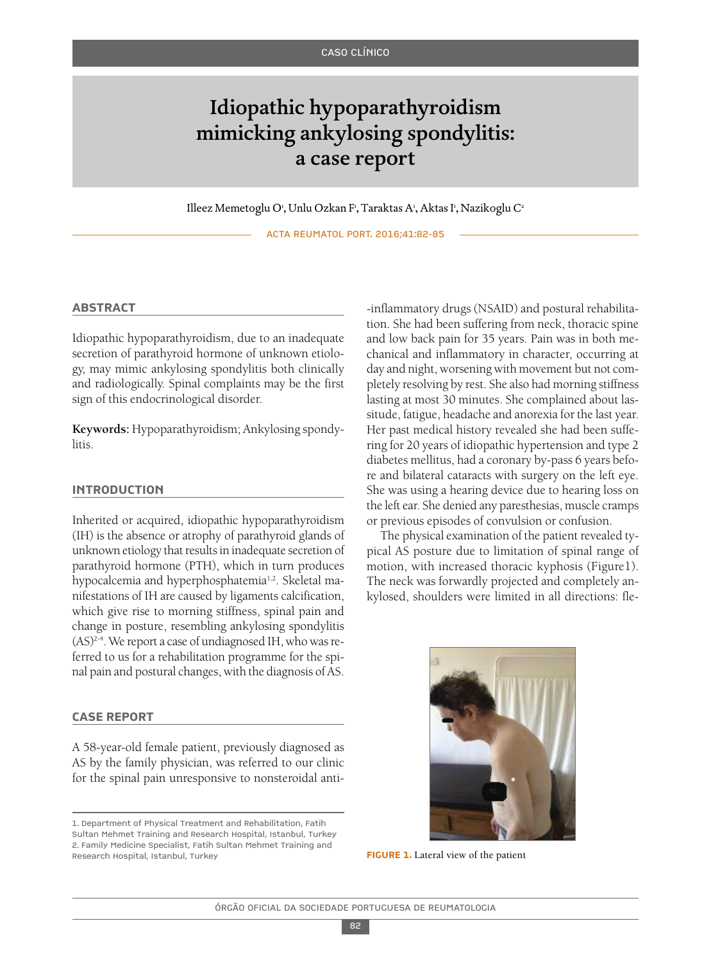# Idiopathic hypoparathyroidism mimicking ankylosing spondylitis: a case report

Illeez Memetoglu O', Unlu Ozkan F', Taraktas A', Aktas I', Nazikoglu C<sup>2</sup>

ACTA REUMATOL PORT. 2016;41:82-85

### **AbstrAct**

Idiopathic hypoparathyroidism, due to an inadequate secretion of parathyroid hormone of unknown etiology, may mimic ankylosing spondylitis both clinically and radiologically. Spinal complaints may be the first sign of this endocrinological disorder.

**Keywords:** Hypoparathyroidism; Ankylosing spondylitis.

### **introduction**

Inherited or acquired, idiopathic hypoparathyroidism (IH) is the absence or atrophy of parathyroid glands of unknown etiology that results in inadequate secretion of parathyroid hormone (PTH), which in turn produces hypocalcemia and hyperphosphatemia<sup>1,2</sup>. Skeletal manifestations of IH are caused by ligaments calcification, which give rise to morning stiffness, spinal pain and change in posture, resembling ankylosing spondylitis (AS)<sup>2-4</sup>. We report a case of undiagnosed IH, who was referred to us for a rehabilitation programme for the spinal pain and postural changes, with the diagnosis of AS.

#### **cAse report**

A 58-year-old female patient, previously diagnosed as AS by the family physician, was referred to our clinic for the spinal pain unresponsive to nonsteroidal anti-

-inflammatory drugs (NSAID) and postural rehabilitation. She had been suffering from neck, thoracic spine and low back pain for 35 years. Pain was in both mechanical and inflammatory in character, occurring at day and night, worsening with movement but not completely resolving by rest. She also had morning stiffness lasting at most 30 minutes. She complained about lassitude, fatigue, headache and anorexia for the last year. Her past medical history revealed she had been suffering for 20 years of idiopathic hypertension and type 2 diabetes mellitus, had a coronary by-pass 6 years before and bilateral cataracts with surgery on the left eye. She was using a hearing device due to hearing loss on the left ear. She denied any paresthesias, muscle cramps or previous episodes of convulsion or confusion.

The physical examination of the patient revealed typical AS posture due to limitation of spinal range of motion, with increased thoracic kyphosis (Figure1). The neck was forwardly projected and completely ankylosed, shoulders were limited in all directions: fle-



<sup>1.</sup> Department of Physical Treatment and Rehabilitation, Fatih Sultan Mehmet Training and Research Hospital, Istanbul, Turkey 2. Family Medicine Specialist, Fatih Sultan Mehmet Training and Research Hospital, Istanbul, Turkey **Figure 1.** Lateral view of the patient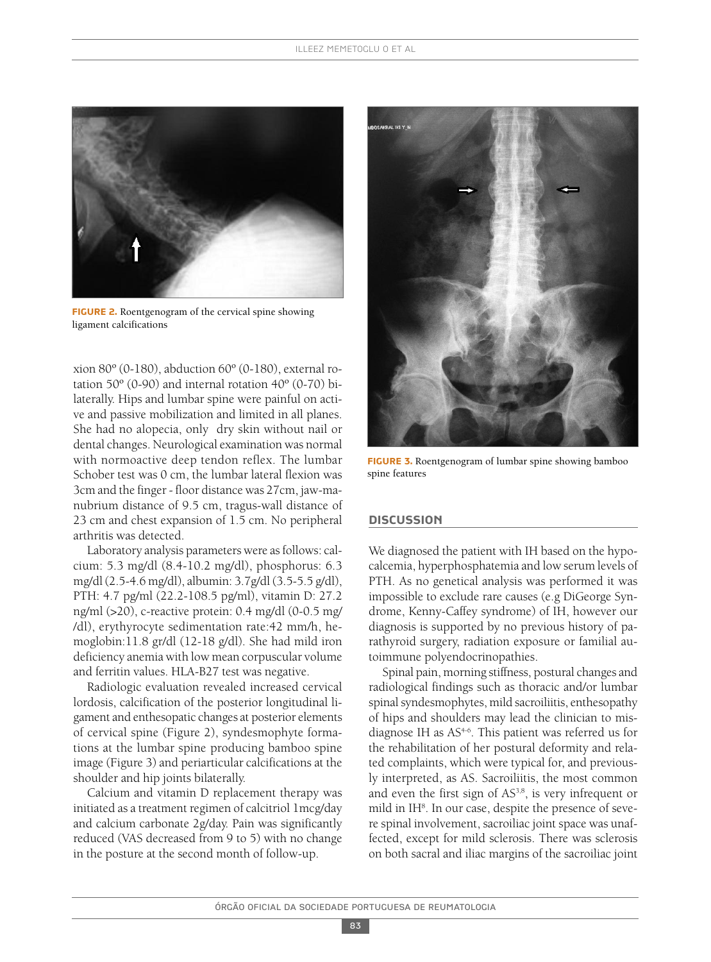

**FIGURE 2.** Roentgenogram of the cervical spine showing ligament calcifications

xion 80º (0-180), abduction 60º (0-180), external rotation  $50^{\circ}$  (0-90) and internal rotation  $40^{\circ}$  (0-70) bilaterally. Hips and lumbar spine were painful on active and passive mobilization and limited in all planes. She had no alopecia, only dry skin without nail or dental changes. Neurological examination was normal with normoactive deep tendon reflex. The lumbar Schober test was 0 cm, the lumbar lateral flexion was 3cm and the finger - floor distance was 27cm, jaw-manubrium distance of 9.5 cm, tragus-wall distance of 23 cm and chest expansion of 1.5 cm. No peripheral arthritis was detected.

Laboratory analysis parameters were as follows: calcium: 5.3 mg/dl (8.4-10.2 mg/dl), phosphorus: 6.3 mg/dl (2.5-4.6 mg/dl), albumin: 3.7g/dl (3.5-5.5 g/dl), PTH: 4.7 pg/ml (22.2-108.5 pg/ml), vitamin D: 27.2 ng/ml (>20), c-reactive protein: 0.4 mg/dl (0-0.5 mg/ /dl), erythyrocyte sedimentation rate:42 mm/h, hemoglobin:11.8 gr/dl (12-18 g/dl). She had mild iron deficiency anemia with low mean corpuscular volume and ferritin values. HLA-B27 test was negative.

Radiologic evaluation revealed increased cervical lordosis, calcification of the posterior longitudinal ligament and enthesopatic changes at posterior elements of cervical spine (Figure 2), syndesmophyte formations at the lumbar spine producing bamboo spine image (Figure 3) and periarticular calcifications at the shoulder and hip joints bilaterally.

Calcium and vitamin D replacement therapy was initiated as a treatment regimen of calcitriol 1mcg/day and calcium carbonate 2g/day. Pain was significantly reduced (VAS decreased from 9 to 5) with no change in the posture at the second month of follow-up.



**FIGURE 3.** Roentgenogram of lumbar spine showing bamboo spine features

#### **discussion**

We diagnosed the patient with IH based on the hypocalcemia, hyperphosphatemia and low serum levels of PTH. As no genetical analysis was performed it was impossible to exclude rare causes (e.g DiGeorge Syndrome, Kenny-Caffey syndrome) of IH, however our diagnosis is supported by no previous history of parathyroid surgery, radiation exposure or familial autoimmune polyendocrinopathies.

Spinal pain, morning stiffness, postural changes and radiological findings such as thoracic and/or lumbar spinal syndesmophytes, mild sacroiliitis, enthesopathy of hips and shoulders may lead the clinician to misdiagnose IH as AS4-6 . This patient was referred us for the rehabilitation of her postural deformity and related complaints, which were typical for, and previously interpreted, as AS. Sacroiliitis, the most common and even the first sign of AS<sup>3,8</sup>, is very infrequent or mild in IH<sup>8</sup>. In our case, despite the presence of severe spinal involvement, sacroiliac joint space was unaffected, except for mild sclerosis. There was sclerosis on both sacral and iliac margins of the sacroiliac joint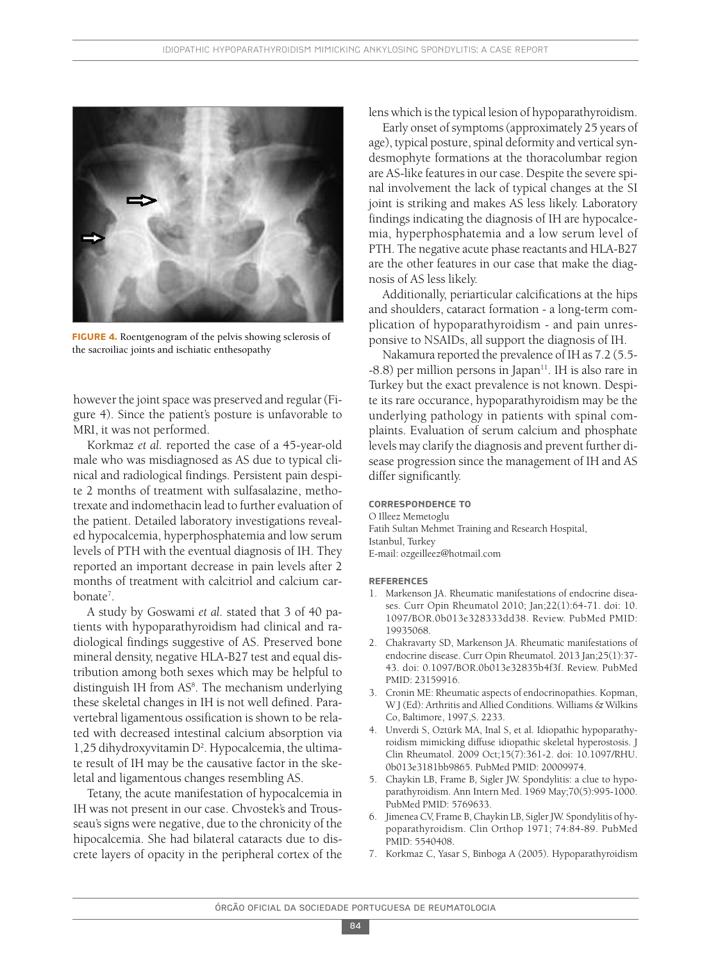

**Figure 4.** Roentgenogram of the pelvis showing sclerosis of the sacroiliac joints and ischiatic enthesopathy

however the joint space was preserved and regular (Figure 4). Since the patient's posture is unfavorable to MRI, it was not performed.

Korkmaz *et al.* reported the case of a 45-year-old male who was misdiagnosed as AS due to typical clinical and radiological findings. Persistent pain despite 2 months of treatment with sulfasalazine, methotrexate and indomethacin lead to further evaluation of the patient. Detailed laboratory investigations revealed hypocalcemia, hyperphosphatemia and low serum levels of PTH with the eventual diagnosis of IH. They reported an important decrease in pain levels after 2 months of treatment with calcitriol and calcium carbonate<sup>7</sup>.

A study by Goswami *et al.* stated that 3 of 40 patients with hypoparathyroidism had clinical and radiological findings suggestive of AS. Preserved bone mineral density, negative HLA-B27 test and equal distribution among both sexes which may be helpful to distinguish IH from AS<sup>8</sup>. The mechanism underlying these skeletal changes in IH is not well defined. Paravertebral ligamentous ossification is shown to be related with decreased intestinal calcium absorption via 1,25 dihydroxyvitamin D<sup>2</sup>. Hypocalcemia, the ultimate result of IH may be the causative factor in the skeletal and ligamentous changes resembling AS.

Tetany, the acute manifestation of hypocalcemia in IH was not present in our case. Chvostek's and Trousseau's signs were negative, due to the chronicity of the hipocalcemia. She had bilateral cataracts due to discrete layers of opacity in the peripheral cortex of the lens which is the typical lesion of hypoparathyroidism.

Early onset of symptoms (approximately 25 years of age), typical posture, spinal deformity and vertical syndesmophyte formations at the thoracolumbar region are AS-like features in our case. Despite the severe spinal involvement the lack of typical changes at the SI joint is striking and makes AS less likely. Laboratory findings indicating the diagnosis of IH are hypocalcemia, hyperphosphatemia and a low serum level of PTH. The negative acute phase reactants and HLA-B27 are the other features in our case that make the diagnosis of AS less likely.

Additionally, periarticular calcifications at the hips and shoulders, cataract formation - a long-term complication of hypoparathyroidism - and pain unresponsive to NSAIDs, all support the diagnosis of IH.

Nakamura reported the prevalence of IH as 7.2 (5.5- -8.8) per million persons in Japan<sup>11</sup>. IH is also rare in Turkey but the exact prevalence is not known. Despite its rare occurance, hypoparathyroidism may be the underlying pathology in patients with spinal complaints. Evaluation of serum calcium and phosphate levels may clarify the diagnosis and prevent further disease progression since the management of IH and AS differ significantly.

## **correspondence to**

O Illeez Memetoglu Fatih Sultan Mehmet Training and Research Hospital, Istanbul, Turkey E-mail: ozgeilleez@hotmail.com

#### **reFerences**

- 1. Markenson JA. Rheumatic manifestations of endocrine diseases. Curr Opin Rheumatol 2010; Jan;22(1):64-71. doi: 10. 1097/BOR.0b013e328333dd38. Review. PubMed PMID: 19935068.
- 2. Chakravarty SD, Markenson JA. Rheumatic manifestations of endocrine disease. Curr Opin Rheumatol. 2013 Jan;25(1):37- 43. doi: 0.1097/BOR.0b013e32835b4f3f. Review. PubMed PMID: 23159916.
- 3. Cronin ME: Rheumatic aspects of endocrinopathies. Kopman, W J (Ed): Arthritis and Allied Conditions. Williams & Wilkins Co, Baltimore, 1997,S. 2233.
- 4. Unverdi S, Oztürk MA, Inal S, et al. Idiopathic hypoparathyroidism mimicking diffuse idiopathic skeletal hyperostosis. J Clin Rheumatol. 2009 Oct;15(7):361-2. doi: 10.1097/RHU. 0b013e3181bb9865. PubMed PMID: 20009974.
- 5. Chaykin LB, Frame B, Sigler JW. Spondylitis: a clue to hypoparathyroidism. Ann Intern Med. 1969 May;70(5):995-1000. PubMed PMID: 5769633.
- 6. Jimenea CV, Frame B, Chaykin LB, Sigler JW. Spondylitis of hypoparathyroidism. Clin Orthop 1971; 74:84-89. PubMed PMID: 5540408.
- 7. Korkmaz C, Yasar S, Binboga A (2005). Hypoparathyroidism